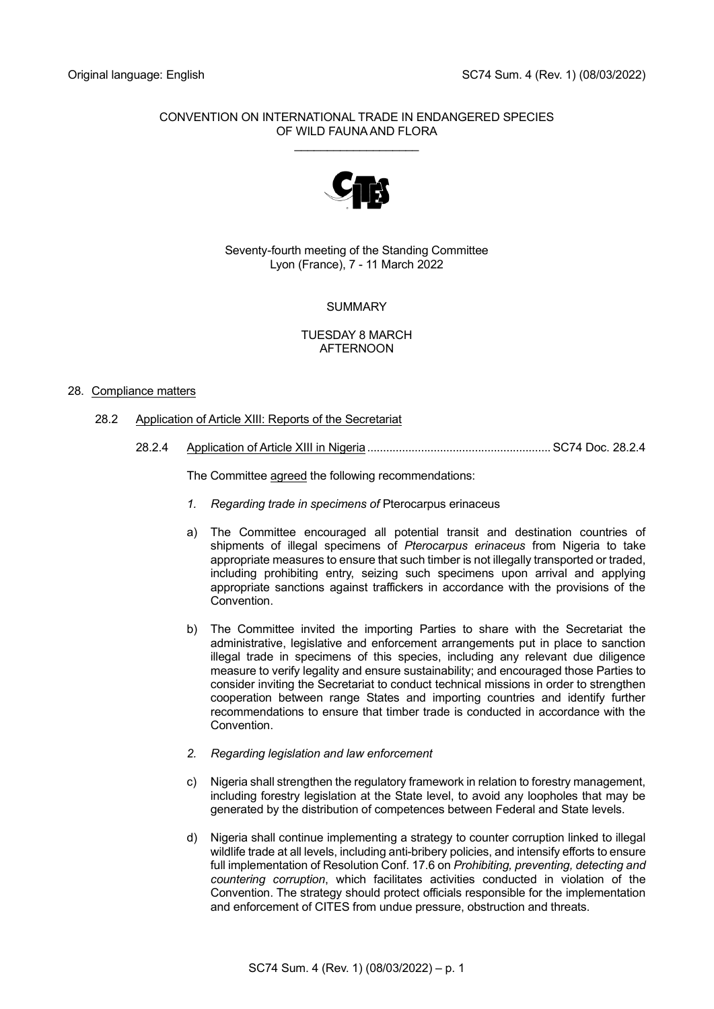## CONVENTION ON INTERNATIONAL TRADE IN ENDANGERED SPECIES OF WILD FAUNA AND FLORA \_\_\_\_\_\_\_\_\_\_\_\_\_\_\_\_\_\_\_



Seventy-fourth meeting of the Standing Committee Lyon (France), 7 - 11 March 2022

# **SUMMARY**

### TUESDAY 8 MARCH AFTERNOON

## 28. Compliance matters

- 28.2 Application of Article XIII: Reports of the Secretariat
	- 28.2.4 Application of Article XIII in Nigeria.......................................................... SC74 Doc. 28.2.4

The Committee agreed the following recommendations:

- *1. Regarding trade in specimens of* Pterocarpus erinaceus
- a) The Committee encouraged all potential transit and destination countries of shipments of illegal specimens of *Pterocarpus erinaceus* from Nigeria to take appropriate measures to ensure that such timber is not illegally transported or traded, including prohibiting entry, seizing such specimens upon arrival and applying appropriate sanctions against traffickers in accordance with the provisions of the Convention.
- b) The Committee invited the importing Parties to share with the Secretariat the administrative, legislative and enforcement arrangements put in place to sanction illegal trade in specimens of this species, including any relevant due diligence measure to verify legality and ensure sustainability; and encouraged those Parties to consider inviting the Secretariat to conduct technical missions in order to strengthen cooperation between range States and importing countries and identify further recommendations to ensure that timber trade is conducted in accordance with the Convention.
- *2. Regarding legislation and law enforcement*
- c) Nigeria shall strengthen the regulatory framework in relation to forestry management, including forestry legislation at the State level, to avoid any loopholes that may be generated by the distribution of competences between Federal and State levels.
- d) Nigeria shall continue implementing a strategy to counter corruption linked to illegal wildlife trade at all levels, including anti-bribery policies, and intensify efforts to ensure full implementation of Resolution Conf. 17.6 on *Prohibiting, preventing, detecting and countering corruption*, which facilitates activities conducted in violation of the Convention. The strategy should protect officials responsible for the implementation and enforcement of CITES from undue pressure, obstruction and threats.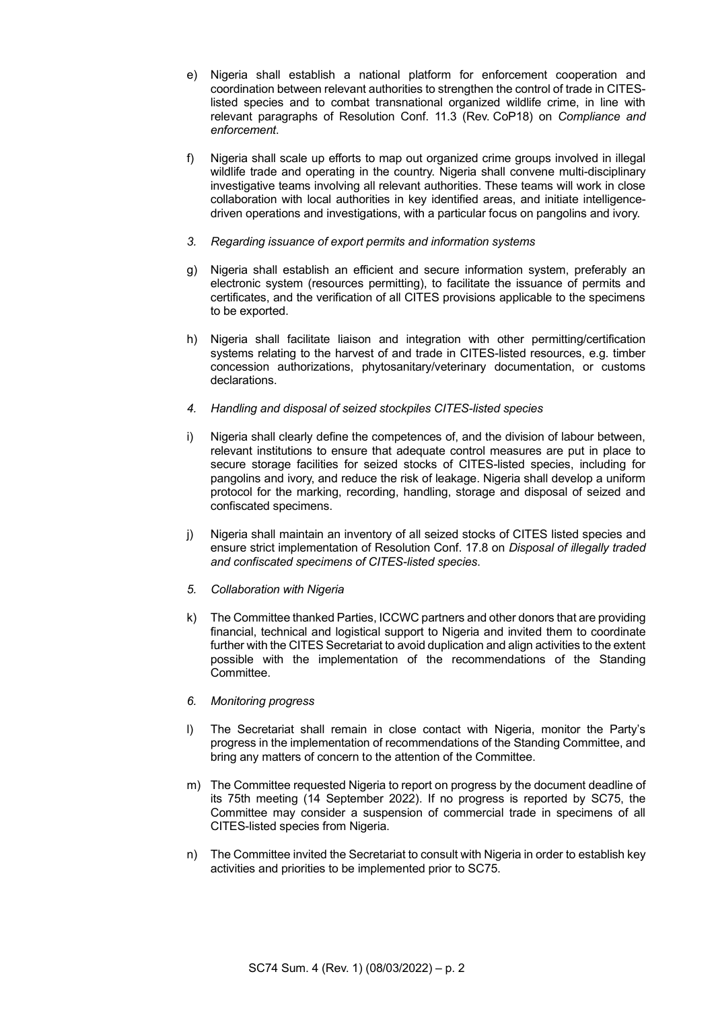- e) Nigeria shall establish a national platform for enforcement cooperation and coordination between relevant authorities to strengthen the control of trade in CITESlisted species and to combat transnational organized wildlife crime, in line with relevant paragraphs of Resolution Conf. 11.3 (Rev. CoP18) on *Compliance and enforcement*.
- f) Nigeria shall scale up efforts to map out organized crime groups involved in illegal wildlife trade and operating in the country. Nigeria shall convene multi-disciplinary investigative teams involving all relevant authorities. These teams will work in close collaboration with local authorities in key identified areas, and initiate intelligencedriven operations and investigations, with a particular focus on pangolins and ivory.
- *3. Regarding issuance of export permits and information systems*
- g) Nigeria shall establish an efficient and secure information system, preferably an electronic system (resources permitting), to facilitate the issuance of permits and certificates, and the verification of all CITES provisions applicable to the specimens to be exported.
- h) Nigeria shall facilitate liaison and integration with other permitting/certification systems relating to the harvest of and trade in CITES-listed resources, e.g. timber concession authorizations, phytosanitary/veterinary documentation, or customs declarations.
- *4. Handling and disposal of seized stockpiles CITES-listed species*
- i) Nigeria shall clearly define the competences of, and the division of labour between, relevant institutions to ensure that adequate control measures are put in place to secure storage facilities for seized stocks of CITES-listed species, including for pangolins and ivory, and reduce the risk of leakage. Nigeria shall develop a uniform protocol for the marking, recording, handling, storage and disposal of seized and confiscated specimens.
- j) Nigeria shall maintain an inventory of all seized stocks of CITES listed species and ensure strict implementation of Resolution Conf. 17.8 on *Disposal of illegally traded and confiscated specimens of CITES-listed species*.
- *5. Collaboration with Nigeria*
- k) The Committee thanked Parties, ICCWC partners and other donors that are providing financial, technical and logistical support to Nigeria and invited them to coordinate further with the CITES Secretariat to avoid duplication and align activities to the extent possible with the implementation of the recommendations of the Standing Committee.
- *6. Monitoring progress*
- l) The Secretariat shall remain in close contact with Nigeria, monitor the Party's progress in the implementation of recommendations of the Standing Committee, and bring any matters of concern to the attention of the Committee.
- m) The Committee requested Nigeria to report on progress by the document deadline of its 75th meeting (14 September 2022). If no progress is reported by SC75, the Committee may consider a suspension of commercial trade in specimens of all CITES-listed species from Nigeria.
- n) The Committee invited the Secretariat to consult with Nigeria in order to establish key activities and priorities to be implemented prior to SC75.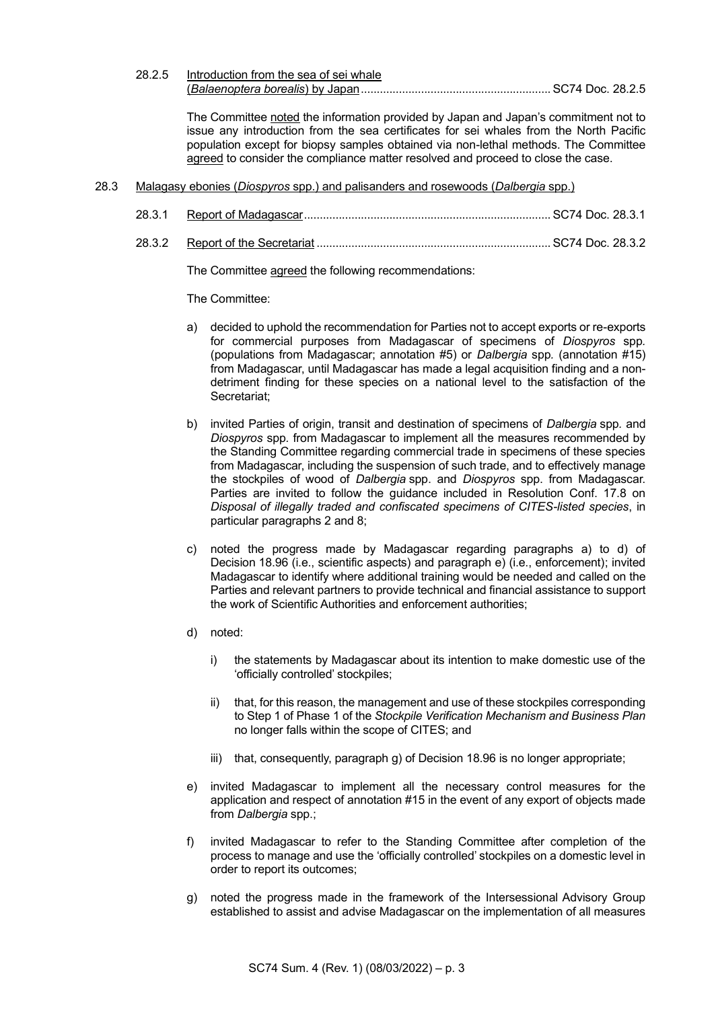28.2.5 Introduction from the sea of sei whale (*Balaenoptera borealis*) by Japan............................................................ SC74 Doc. 28.2.5

The Committee noted the information provided by Japan and Japan's commitment not to issue any introduction from the sea certificates for sei whales from the North Pacific population except for biopsy samples obtained via non-lethal methods. The Committee agreed to consider the compliance matter resolved and proceed to close the case.

- 28.3 Malagasy ebonies (*Diospyros* spp.) and palisanders and rosewoods (*Dalbergia* spp.)
	- 28.3.1 Report of Madagascar.............................................................................. SC74 Doc. 28.3.1
	- 28.3.2 Report of the Secretariat .......................................................................... SC74 Doc. 28.3.2

The Committee agreed the following recommendations:

The Committee:

- a) decided to uphold the recommendation for Parties not to accept exports or re-exports for commercial purposes from Madagascar of specimens of *Diospyros* spp*.* (populations from Madagascar; annotation #5) or *Dalbergia* spp*.* (annotation #15) from Madagascar, until Madagascar has made a legal acquisition finding and a nondetriment finding for these species on a national level to the satisfaction of the Secretariat;
- b) invited Parties of origin, transit and destination of specimens of *Dalbergia* spp*.* and *Diospyros* spp*.* from Madagascar to implement all the measures recommended by the Standing Committee regarding commercial trade in specimens of these species from Madagascar, including the suspension of such trade, and to effectively manage the stockpiles of wood of *Dalbergia* spp. and *Diospyros* spp. from Madagascar. Parties are invited to follow the guidance included in Resolution Conf. 17.8 on *Disposal of illegally traded and confiscated specimens of CITES-listed species*, in particular paragraphs 2 and 8;
- c) noted the progress made by Madagascar regarding paragraphs a) to d) of Decision 18.96 (i.e., scientific aspects) and paragraph e) (i.e., enforcement); invited Madagascar to identify where additional training would be needed and called on the Parties and relevant partners to provide technical and financial assistance to support the work of Scientific Authorities and enforcement authorities;
- d) noted:
	- i) the statements by Madagascar about its intention to make domestic use of the 'officially controlled' stockpiles;
	- ii) that, for this reason, the management and use of these stockpiles corresponding to Step 1 of Phase 1 of the *Stockpile Verification Mechanism and Business Plan*  no longer falls within the scope of CITES; and
	- iii) that, consequently, paragraph g) of Decision 18.96 is no longer appropriate;
- e) invited Madagascar to implement all the necessary control measures for the application and respect of annotation #15 in the event of any export of objects made from *Dalbergia* spp.;
- f) invited Madagascar to refer to the Standing Committee after completion of the process to manage and use the 'officially controlled' stockpiles on a domestic level in order to report its outcomes;
- g) noted the progress made in the framework of the Intersessional Advisory Group established to assist and advise Madagascar on the implementation of all measures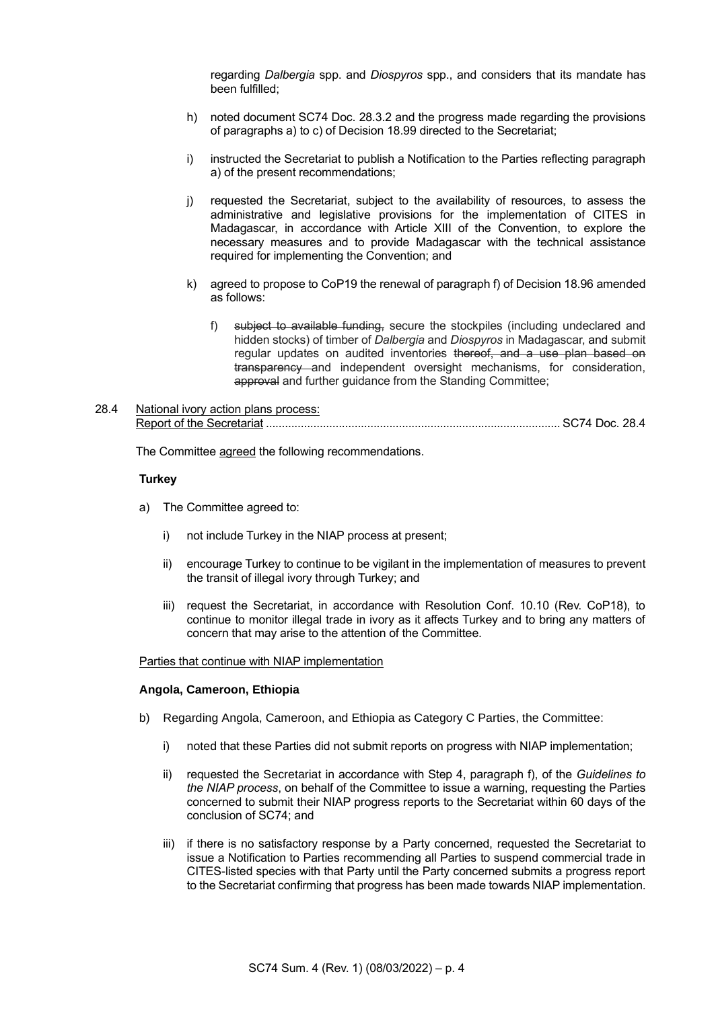regarding *Dalbergia* spp. and *Diospyros* spp., and considers that its mandate has been fulfilled;

- h) noted document SC74 Doc. 28.3.2 and the progress made regarding the provisions of paragraphs a) to c) of Decision 18.99 directed to the Secretariat;
- i) instructed the Secretariat to publish a Notification to the Parties reflecting paragraph a) of the present recommendations;
- j) requested the Secretariat, subject to the availability of resources, to assess the administrative and legislative provisions for the implementation of CITES in Madagascar, in accordance with Article XIII of the Convention, to explore the necessary measures and to provide Madagascar with the technical assistance required for implementing the Convention; and
- k) agreed to propose to CoP19 the renewal of paragraph f) of Decision 18.96 amended as follows:
	- f) subject to available funding, secure the stockpiles (including undeclared and hidden stocks) of timber of *Dalbergia* and *Diospyros* in Madagascar, and submit regular updates on audited inventories thereof, and a use plan based on transparency and independent oversight mechanisms, for consideration, approval and further guidance from the Standing Committee;

## 28.4 National ivory action plans process: Report of the Secretariat ............................................................................................. SC74 Doc. 28.4

The Committee agreed the following recommendations.

#### **Turkey**

- a) The Committee agreed to:
	- i) not include Turkey in the NIAP process at present;
	- ii) encourage Turkey to continue to be vigilant in the implementation of measures to prevent the transit of illegal ivory through Turkey; and
	- iii) request the Secretariat, in accordance with Resolution Conf. 10.10 (Rev. CoP18), to continue to monitor illegal trade in ivory as it affects Turkey and to bring any matters of concern that may arise to the attention of the Committee.

#### Parties that continue with NIAP implementation

### **Angola, Cameroon, Ethiopia**

- b) Regarding Angola, Cameroon, and Ethiopia as Category C Parties, the Committee:
	- i) noted that these Parties did not submit reports on progress with NIAP implementation;
	- ii) requested the Secretariat in accordance with Step 4, paragraph f), of the *Guidelines to the NIAP process*, on behalf of the Committee to issue a warning, requesting the Parties concerned to submit their NIAP progress reports to the Secretariat within 60 days of the conclusion of SC74; and
	- iii) if there is no satisfactory response by a Party concerned, requested the Secretariat to issue a Notification to Parties recommending all Parties to suspend commercial trade in CITES-listed species with that Party until the Party concerned submits a progress report to the Secretariat confirming that progress has been made towards NIAP implementation.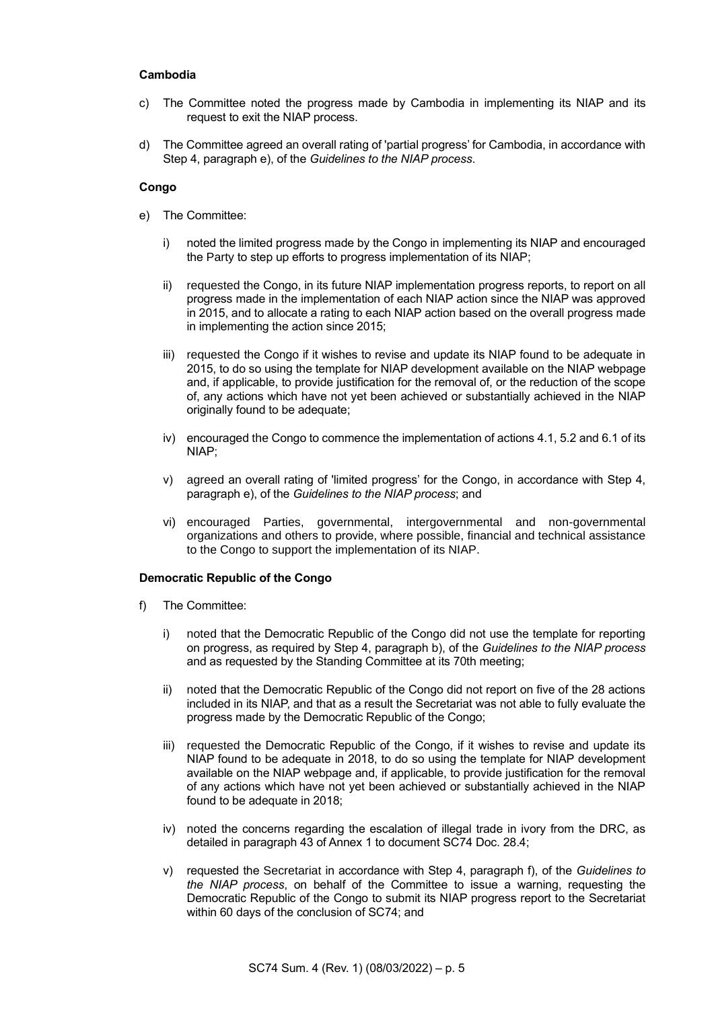### **Cambodia**

- c) The Committee noted the progress made by Cambodia in implementing its NIAP and its request to exit the NIAP process.
- d) The Committee agreed an overall rating of 'partial progress' for Cambodia, in accordance with Step 4, paragraph e), of the *Guidelines to the NIAP process*.

#### **Congo**

- e) The Committee:
	- i) noted the limited progress made by the Congo in implementing its NIAP and encouraged the Party to step up efforts to progress implementation of its NIAP;
	- ii) requested the Congo, in its future NIAP implementation progress reports, to report on all progress made in the implementation of each NIAP action since the NIAP was approved in 2015, and to allocate a rating to each NIAP action based on the overall progress made in implementing the action since 2015;
	- iii) requested the Congo if it wishes to revise and update its NIAP found to be adequate in 2015, to do so using the template for NIAP development available on the NIAP webpage and, if applicable, to provide justification for the removal of, or the reduction of the scope of, any actions which have not yet been achieved or substantially achieved in the NIAP originally found to be adequate;
	- iv) encouraged the Congo to commence the implementation of actions 4.1, 5.2 and 6.1 of its NIAP;
	- v) agreed an overall rating of 'limited progress' for the Congo, in accordance with Step 4, paragraph e), of the *Guidelines to the NIAP process*; and
	- vi) encouraged Parties, governmental, intergovernmental and non-governmental organizations and others to provide, where possible, financial and technical assistance to the Congo to support the implementation of its NIAP.

### **Democratic Republic of the Congo**

- f) The Committee:
	- i) noted that the Democratic Republic of the Congo did not use the template for reporting on progress, as required by Step 4, paragraph b), of the *Guidelines to the NIAP process* and as requested by the Standing Committee at its 70th meeting;
	- ii) noted that the Democratic Republic of the Congo did not report on five of the 28 actions included in its NIAP, and that as a result the Secretariat was not able to fully evaluate the progress made by the Democratic Republic of the Congo;
	- iii) requested the Democratic Republic of the Congo, if it wishes to revise and update its NIAP found to be adequate in 2018, to do so using the template for NIAP development available on the NIAP webpage and, if applicable, to provide justification for the removal of any actions which have not yet been achieved or substantially achieved in the NIAP found to be adequate in 2018;
	- iv) noted the concerns regarding the escalation of illegal trade in ivory from the DRC, as detailed in paragraph 43 of Annex 1 to document SC74 Doc. 28.4;
	- v) requested the Secretariat in accordance with Step 4, paragraph f), of the *Guidelines to the NIAP process*, on behalf of the Committee to issue a warning, requesting the Democratic Republic of the Congo to submit its NIAP progress report to the Secretariat within 60 days of the conclusion of SC74; and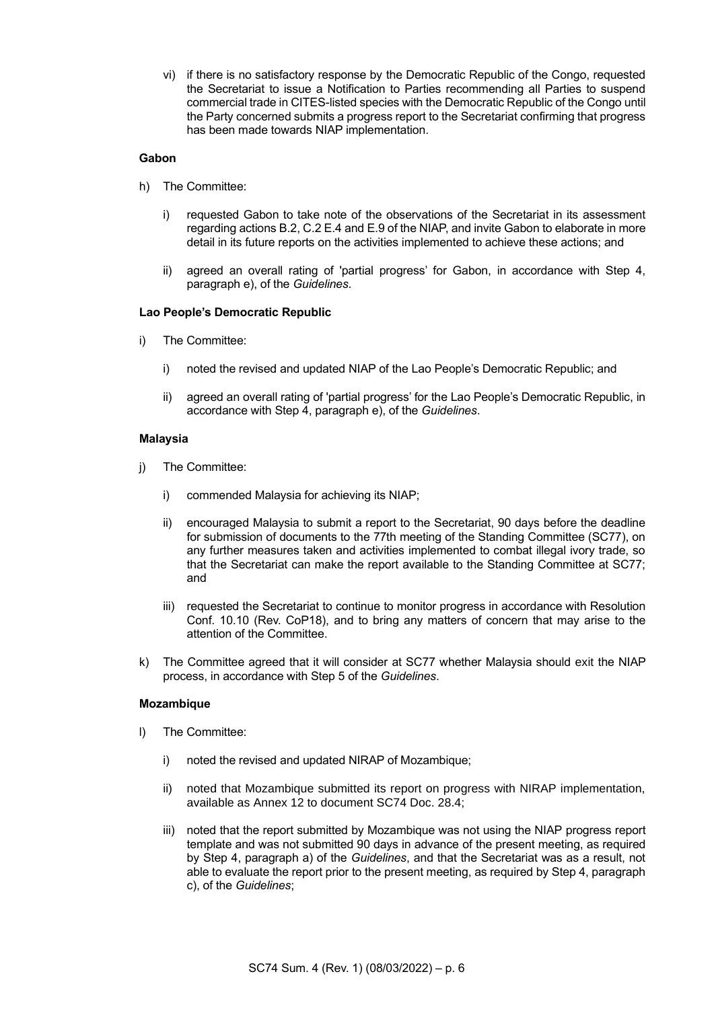vi) if there is no satisfactory response by the Democratic Republic of the Congo, requested the Secretariat to issue a Notification to Parties recommending all Parties to suspend commercial trade in CITES-listed species with the Democratic Republic of the Congo until the Party concerned submits a progress report to the Secretariat confirming that progress has been made towards NIAP implementation.

### **Gabon**

- h) The Committee:
	- i) requested Gabon to take note of the observations of the Secretariat in its assessment regarding actions B.2, C.2 E.4 and E.9 of the NIAP, and invite Gabon to elaborate in more detail in its future reports on the activities implemented to achieve these actions; and
	- ii) agreed an overall rating of 'partial progress' for Gabon, in accordance with Step 4, paragraph e), of the *Guidelines*.

### **Lao People's Democratic Republic**

- i) The Committee:
	- i) noted the revised and updated NIAP of the Lao People's Democratic Republic; and
	- ii) agreed an overall rating of 'partial progress' for the Lao People's Democratic Republic, in accordance with Step 4, paragraph e), of the *Guidelines*.

### **Malaysia**

- j) The Committee:
	- i) commended Malaysia for achieving its NIAP;
	- ii) encouraged Malaysia to submit a report to the Secretariat, 90 days before the deadline for submission of documents to the 77th meeting of the Standing Committee (SC77), on any further measures taken and activities implemented to combat illegal ivory trade, so that the Secretariat can make the report available to the Standing Committee at SC77; and
	- iii) requested the Secretariat to continue to monitor progress in accordance with Resolution Conf. 10.10 (Rev. CoP18), and to bring any matters of concern that may arise to the attention of the Committee.
- k) The Committee agreed that it will consider at SC77 whether Malaysia should exit the NIAP process, in accordance with Step 5 of the *Guidelines*.

### **Mozambique**

- l) The Committee:
	- i) noted the revised and updated NIRAP of Mozambique;
	- ii) noted that Mozambique submitted its report on progress with NIRAP implementation, available as Annex 12 to document SC74 Doc. 28.4;
	- iii) noted that the report submitted by Mozambique was not using the NIAP progress report template and was not submitted 90 days in advance of the present meeting, as required by Step 4, paragraph a) of the *Guidelines*, and that the Secretariat was as a result, not able to evaluate the report prior to the present meeting, as required by Step 4, paragraph c), of the *Guidelines*;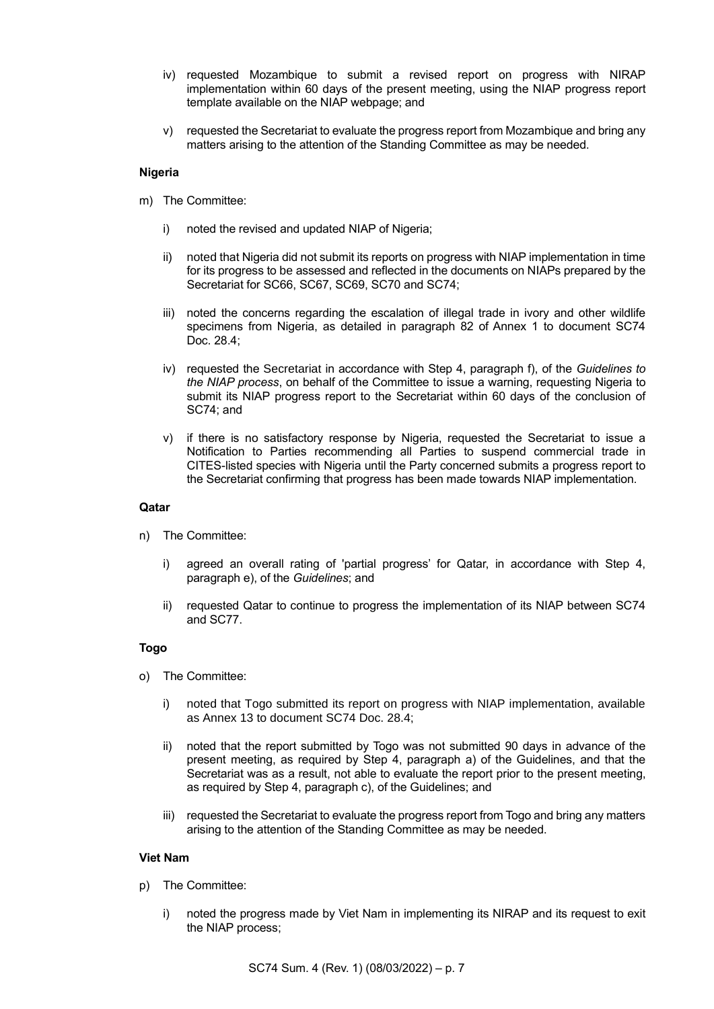- iv) requested Mozambique to submit a revised report on progress with NIRAP implementation within 60 days of the present meeting, using the NIAP progress report template available on the NIAP webpage; and
- v) requested the Secretariat to evaluate the progress report from Mozambique and bring any matters arising to the attention of the Standing Committee as may be needed.

### **Nigeria**

- m) The Committee:
	- i) noted the revised and updated NIAP of Nigeria;
	- ii) noted that Nigeria did not submit its reports on progress with NIAP implementation in time for its progress to be assessed and reflected in the documents on NIAPs prepared by the Secretariat for SC66, SC67, SC69, SC70 and SC74;
	- iii) noted the concerns regarding the escalation of illegal trade in ivory and other wildlife specimens from Nigeria, as detailed in paragraph 82 of Annex 1 to document SC74 Doc. 28.4;
	- iv) requested the Secretariat in accordance with Step 4, paragraph f), of the *Guidelines to the NIAP process*, on behalf of the Committee to issue a warning, requesting Nigeria to submit its NIAP progress report to the Secretariat within 60 days of the conclusion of SC74; and
	- v) if there is no satisfactory response by Nigeria, requested the Secretariat to issue a Notification to Parties recommending all Parties to suspend commercial trade in CITES-listed species with Nigeria until the Party concerned submits a progress report to the Secretariat confirming that progress has been made towards NIAP implementation.

### **Qatar**

- n) The Committee:
	- i) agreed an overall rating of 'partial progress' for Qatar, in accordance with Step 4, paragraph e), of the *Guidelines*; and
	- ii) requested Qatar to continue to progress the implementation of its NIAP between SC74 and SC77.

## **Togo**

- o) The Committee:
	- i) noted that Togo submitted its report on progress with NIAP implementation, available as Annex 13 to document SC74 Doc. 28.4;
	- ii) noted that the report submitted by Togo was not submitted 90 days in advance of the present meeting, as required by Step 4, paragraph a) of the Guidelines, and that the Secretariat was as a result, not able to evaluate the report prior to the present meeting, as required by Step 4, paragraph c), of the Guidelines; and
	- iii) requested the Secretariat to evaluate the progress report from Togo and bring any matters arising to the attention of the Standing Committee as may be needed.

### **Viet Nam**

- p) The Committee:
	- i) noted the progress made by Viet Nam in implementing its NIRAP and its request to exit the NIAP process;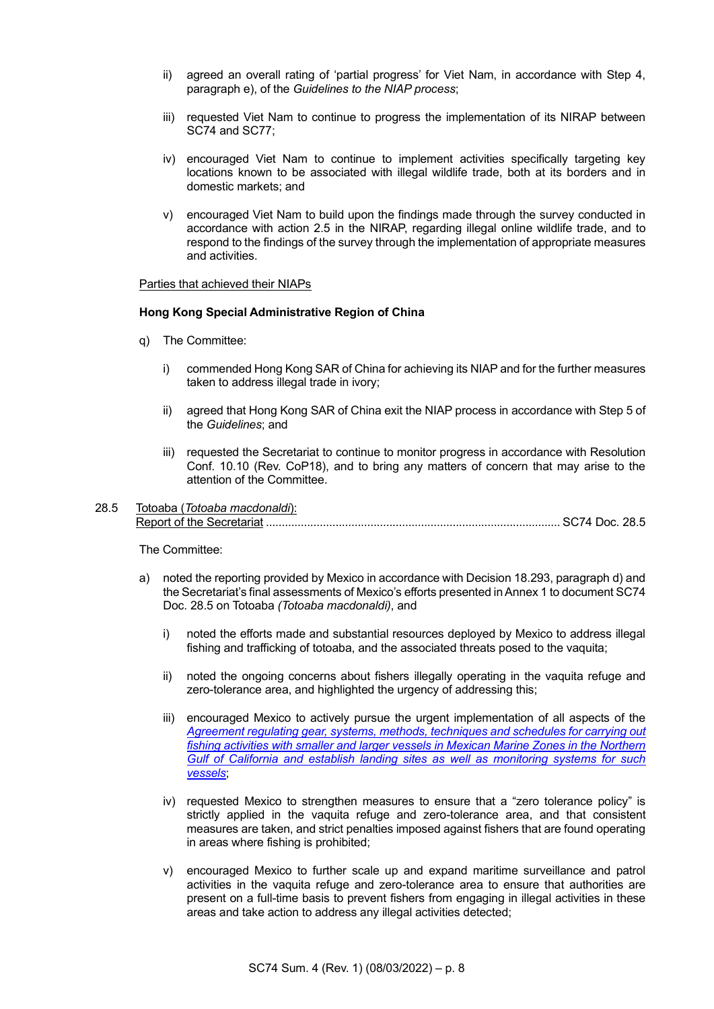- ii) agreed an overall rating of 'partial progress' for Viet Nam, in accordance with Step 4, paragraph e), of the *Guidelines to the NIAP process*;
- iii) requested Viet Nam to continue to progress the implementation of its NIRAP between SC74 and SC77;
- iv) encouraged Viet Nam to continue to implement activities specifically targeting key locations known to be associated with illegal wildlife trade, both at its borders and in domestic markets; and
- v) encouraged Viet Nam to build upon the findings made through the survey conducted in accordance with action 2.5 in the NIRAP, regarding illegal online wildlife trade, and to respond to the findings of the survey through the implementation of appropriate measures and activities.

## Parties that achieved their NIAPs

#### **Hong Kong Special Administrative Region of China**

- q) The Committee:
	- i) commended Hong Kong SAR of China for achieving its NIAP and for the further measures taken to address illegal trade in ivory;
	- ii) agreed that Hong Kong SAR of China exit the NIAP process in accordance with Step 5 of the *Guidelines*; and
	- iii) requested the Secretariat to continue to monitor progress in accordance with Resolution Conf. 10.10 (Rev. CoP18), and to bring any matters of concern that may arise to the attention of the Committee.

# 28.5 Totoaba (*Totoaba macdonaldi*): Report of the Secretariat ............................................................................................. SC74 Doc. 28.5

The Committee:

- a) noted the reporting provided by Mexico in accordance with Decision 18.293, paragraph d) and the Secretariat's final assessments of Mexico's efforts presented in Annex 1 to document SC74 Doc. 28.5 on Totoaba *(Totoaba macdonaldi)*, and
	- i) noted the efforts made and substantial resources deployed by Mexico to address illegal fishing and trafficking of totoaba, and the associated threats posed to the vaquita;
	- ii) noted the ongoing concerns about fishers illegally operating in the vaquita refuge and zero-tolerance area, and highlighted the urgency of addressing this;
	- iii) encouraged Mexico to actively pursue the urgent implementation of all aspects of the *[Agreement regulating gear, systems, methods, techniques and schedules for carrying out](https://www.gob.mx/semarnat/prensa/sader-marina-y-medio-ambiente-concluyen-acuerdo-para-regular-artes-de-pesca-en-el-norte-del-golfo-de-california)  [fishing activities with smaller and larger vessels in Mexican Marine Zones in the Northern](https://www.gob.mx/semarnat/prensa/sader-marina-y-medio-ambiente-concluyen-acuerdo-para-regular-artes-de-pesca-en-el-norte-del-golfo-de-california)  [Gulf of California and establish landing sites as well as monitoring systems for such](https://www.gob.mx/semarnat/prensa/sader-marina-y-medio-ambiente-concluyen-acuerdo-para-regular-artes-de-pesca-en-el-norte-del-golfo-de-california)  [vessels](https://www.gob.mx/semarnat/prensa/sader-marina-y-medio-ambiente-concluyen-acuerdo-para-regular-artes-de-pesca-en-el-norte-del-golfo-de-california)*;
	- iv) requested Mexico to strengthen measures to ensure that a "zero tolerance policy" is strictly applied in the vaquita refuge and zero-tolerance area, and that consistent measures are taken, and strict penalties imposed against fishers that are found operating in areas where fishing is prohibited;
	- v) encouraged Mexico to further scale up and expand maritime surveillance and patrol activities in the vaquita refuge and zero-tolerance area to ensure that authorities are present on a full-time basis to prevent fishers from engaging in illegal activities in these areas and take action to address any illegal activities detected;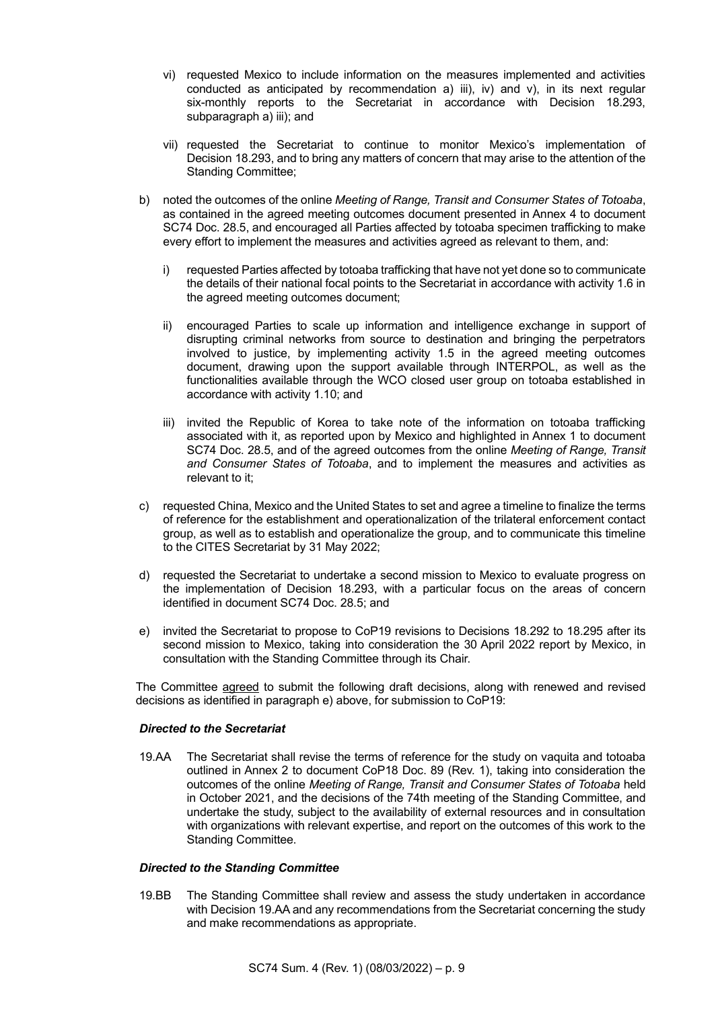- vi) requested Mexico to include information on the measures implemented and activities conducted as anticipated by recommendation a) iii), iv) and  $v$ ), in its next regular six-monthly reports to the Secretariat in accordance with Decision 18.293, subparagraph a) iii); and
- vii) requested the Secretariat to continue to monitor Mexico's implementation of Decision 18.293, and to bring any matters of concern that may arise to the attention of the Standing Committee;
- b) noted the outcomes of the online *Meeting of Range, Transit and Consumer States of Totoaba*, as contained in the agreed meeting outcomes document presented in Annex 4 to document SC74 Doc. 28.5, and encouraged all Parties affected by totoaba specimen trafficking to make every effort to implement the measures and activities agreed as relevant to them, and:
	- i) requested Parties affected by totoaba trafficking that have not yet done so to communicate the details of their national focal points to the Secretariat in accordance with activity 1.6 in the agreed meeting outcomes document;
	- ii) encouraged Parties to scale up information and intelligence exchange in support of disrupting criminal networks from source to destination and bringing the perpetrators involved to justice, by implementing activity 1.5 in the agreed meeting outcomes document, drawing upon the support available through INTERPOL, as well as the functionalities available through the WCO closed user group on totoaba established in accordance with activity 1.10; and
	- iii) invited the Republic of Korea to take note of the information on totoaba trafficking associated with it, as reported upon by Mexico and highlighted in Annex 1 to document SC74 Doc. 28.5, and of the agreed outcomes from the online *Meeting of Range, Transit and Consumer States of Totoaba*, and to implement the measures and activities as relevant to it;
- c) requested China, Mexico and the United States to set and agree a timeline to finalize the terms of reference for the establishment and operationalization of the trilateral enforcement contact group, as well as to establish and operationalize the group, and to communicate this timeline to the CITES Secretariat by 31 May 2022;
- d) requested the Secretariat to undertake a second mission to Mexico to evaluate progress on the implementation of Decision 18.293, with a particular focus on the areas of concern identified in document SC74 Doc. 28.5; and
- e) invited the Secretariat to propose to CoP19 revisions to Decisions 18.292 to 18.295 after its second mission to Mexico, taking into consideration the 30 April 2022 report by Mexico, in consultation with the Standing Committee through its Chair.

The Committee agreed to submit the following draft decisions, along with renewed and revised decisions as identified in paragraph e) above, for submission to CoP19:

### *Directed to the Secretariat*

19.AA The Secretariat shall revise the terms of reference for the study on vaquita and totoaba outlined in Annex 2 to document CoP18 Doc. 89 (Rev. 1), taking into consideration the outcomes of the online *Meeting of Range, Transit and Consumer States of Totoaba* held in October 2021, and the decisions of the 74th meeting of the Standing Committee, and undertake the study, subject to the availability of external resources and in consultation with organizations with relevant expertise, and report on the outcomes of this work to the Standing Committee.

### *Directed to the Standing Committee*

19.BB The Standing Committee shall review and assess the study undertaken in accordance with Decision 19.AA and any recommendations from the Secretariat concerning the study and make recommendations as appropriate.